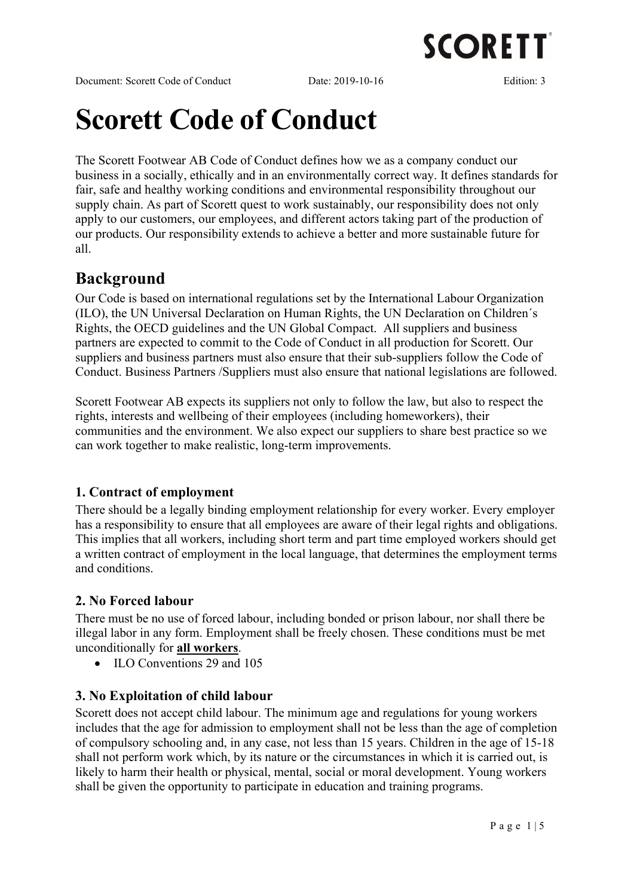

Document: Scorett Code of Conduct Date: 2019-10-16 Edition: 3

# Scorett Code of Conduct

The Scorett Footwear AB Code of Conduct defines how we as a company conduct our business in a socially, ethically and in an environmentally correct way. It defines standards for fair, safe and healthy working conditions and environmental responsibility throughout our supply chain. As part of Scorett quest to work sustainably, our responsibility does not only apply to our customers, our employees, and different actors taking part of the production of our products. Our responsibility extends to achieve a better and more sustainable future for all.

# Background

Our Code is based on international regulations set by the International Labour Organization (ILO), the UN Universal Declaration on Human Rights, the UN Declaration on Children´s Rights, the OECD guidelines and the UN Global Compact. All suppliers and business partners are expected to commit to the Code of Conduct in all production for Scorett. Our suppliers and business partners must also ensure that their sub-suppliers follow the Code of Conduct. Business Partners /Suppliers must also ensure that national legislations are followed.

Scorett Footwear AB expects its suppliers not only to follow the law, but also to respect the rights, interests and wellbeing of their employees (including homeworkers), their communities and the environment. We also expect our suppliers to share best practice so we can work together to make realistic, long-term improvements.

# 1. Contract of employment

There should be a legally binding employment relationship for every worker. Every employer has a responsibility to ensure that all employees are aware of their legal rights and obligations. This implies that all workers, including short term and part time employed workers should get a written contract of employment in the local language, that determines the employment terms and conditions.

# 2. No Forced labour

There must be no use of forced labour, including bonded or prison labour, nor shall there be illegal labor in any form. Employment shall be freely chosen. These conditions must be met unconditionally for all workers.

• ILO Conventions 29 and 105

# 3. No Exploitation of child labour

Scorett does not accept child labour. The minimum age and regulations for young workers includes that the age for admission to employment shall not be less than the age of completion of compulsory schooling and, in any case, not less than 15 years. Children in the age of 15-18 shall not perform work which, by its nature or the circumstances in which it is carried out, is likely to harm their health or physical, mental, social or moral development. Young workers shall be given the opportunity to participate in education and training programs.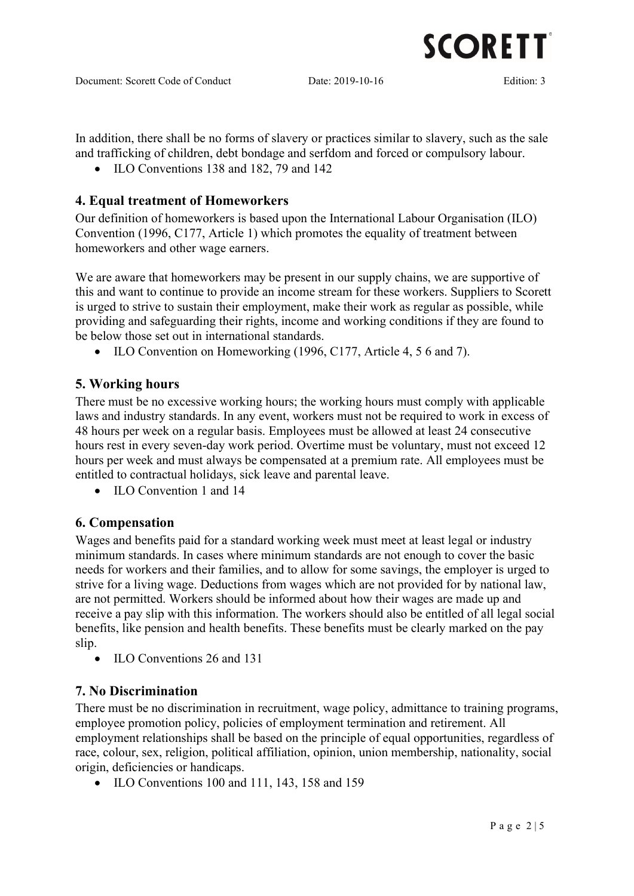

**SCORETT** 

In addition, there shall be no forms of slavery or practices similar to slavery, such as the sale and trafficking of children, debt bondage and serfdom and forced or compulsory labour.

• ILO Conventions 138 and 182, 79 and 142

#### 4. Equal treatment of Homeworkers

Our definition of homeworkers is based upon the International Labour Organisation (ILO) Convention (1996, C177, Article 1) which promotes the equality of treatment between homeworkers and other wage earners.

We are aware that homeworkers may be present in our supply chains, we are supportive of this and want to continue to provide an income stream for these workers. Suppliers to Scorett is urged to strive to sustain their employment, make their work as regular as possible, while providing and safeguarding their rights, income and working conditions if they are found to be below those set out in international standards.

• ILO Convention on Homeworking (1996, C177, Article 4, 5 6 and 7).

#### 5. Working hours

There must be no excessive working hours; the working hours must comply with applicable laws and industry standards. In any event, workers must not be required to work in excess of 48 hours per week on a regular basis. Employees must be allowed at least 24 consecutive hours rest in every seven-day work period. Overtime must be voluntary, must not exceed 12 hours per week and must always be compensated at a premium rate. All employees must be entitled to contractual holidays, sick leave and parental leave.

• ILO Convention 1 and 14

#### 6. Compensation

Wages and benefits paid for a standard working week must meet at least legal or industry minimum standards. In cases where minimum standards are not enough to cover the basic needs for workers and their families, and to allow for some savings, the employer is urged to strive for a living wage. Deductions from wages which are not provided for by national law, are not permitted. Workers should be informed about how their wages are made up and receive a pay slip with this information. The workers should also be entitled of all legal social benefits, like pension and health benefits. These benefits must be clearly marked on the pay slip.

• ILO Conventions 26 and 131

#### 7. No Discrimination

There must be no discrimination in recruitment, wage policy, admittance to training programs, employee promotion policy, policies of employment termination and retirement. All employment relationships shall be based on the principle of equal opportunities, regardless of race, colour, sex, religion, political affiliation, opinion, union membership, nationality, social origin, deficiencies or handicaps.

• ILO Conventions 100 and 111, 143, 158 and 159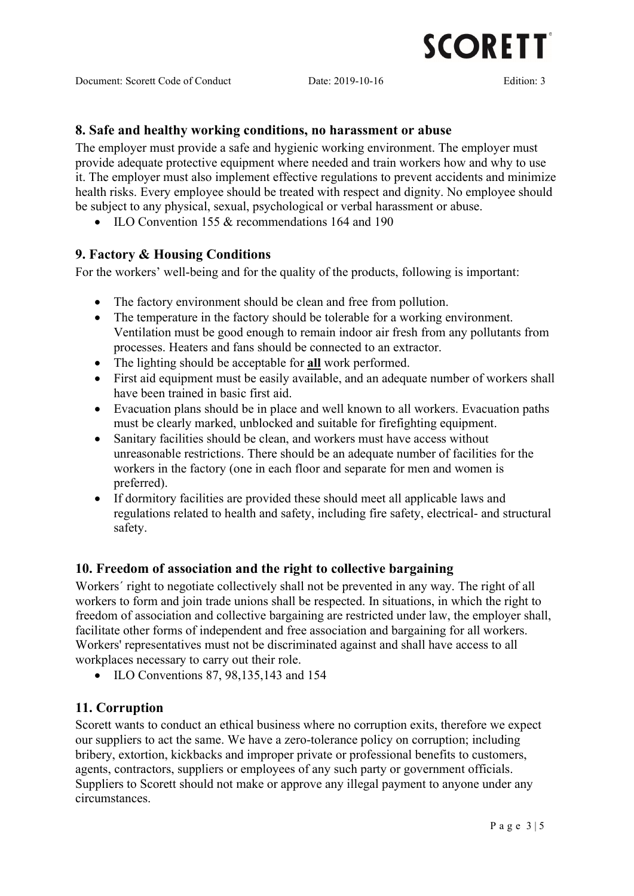

#### 8. Safe and healthy working conditions, no harassment or abuse

The employer must provide a safe and hygienic working environment. The employer must provide adequate protective equipment where needed and train workers how and why to use it. The employer must also implement effective regulations to prevent accidents and minimize health risks. Every employee should be treated with respect and dignity. No employee should be subject to any physical, sexual, psychological or verbal harassment or abuse.

• ILO Convention 155 & recommendations 164 and 190

#### 9. Factory & Housing Conditions

For the workers' well-being and for the quality of the products, following is important:

- The factory environment should be clean and free from pollution.
- The temperature in the factory should be tolerable for a working environment. Ventilation must be good enough to remain indoor air fresh from any pollutants from processes. Heaters and fans should be connected to an extractor.
- The lighting should be acceptable for all work performed.
- First aid equipment must be easily available, and an adequate number of workers shall have been trained in basic first aid.
- Evacuation plans should be in place and well known to all workers. Evacuation paths must be clearly marked, unblocked and suitable for firefighting equipment.
- Sanitary facilities should be clean, and workers must have access without unreasonable restrictions. There should be an adequate number of facilities for the workers in the factory (one in each floor and separate for men and women is preferred).
- If dormitory facilities are provided these should meet all applicable laws and regulations related to health and safety, including fire safety, electrical- and structural safety.

#### 10. Freedom of association and the right to collective bargaining

Workers´ right to negotiate collectively shall not be prevented in any way. The right of all workers to form and join trade unions shall be respected. In situations, in which the right to freedom of association and collective bargaining are restricted under law, the employer shall, facilitate other forms of independent and free association and bargaining for all workers. Workers' representatives must not be discriminated against and shall have access to all workplaces necessary to carry out their role.

• ILO Conventions 87, 98, 135, 143 and 154

#### 11. Corruption

Scorett wants to conduct an ethical business where no corruption exits, therefore we expect our suppliers to act the same. We have a zero-tolerance policy on corruption; including bribery, extortion, kickbacks and improper private or professional benefits to customers, agents, contractors, suppliers or employees of any such party or government officials. Suppliers to Scorett should not make or approve any illegal payment to anyone under any circumstances.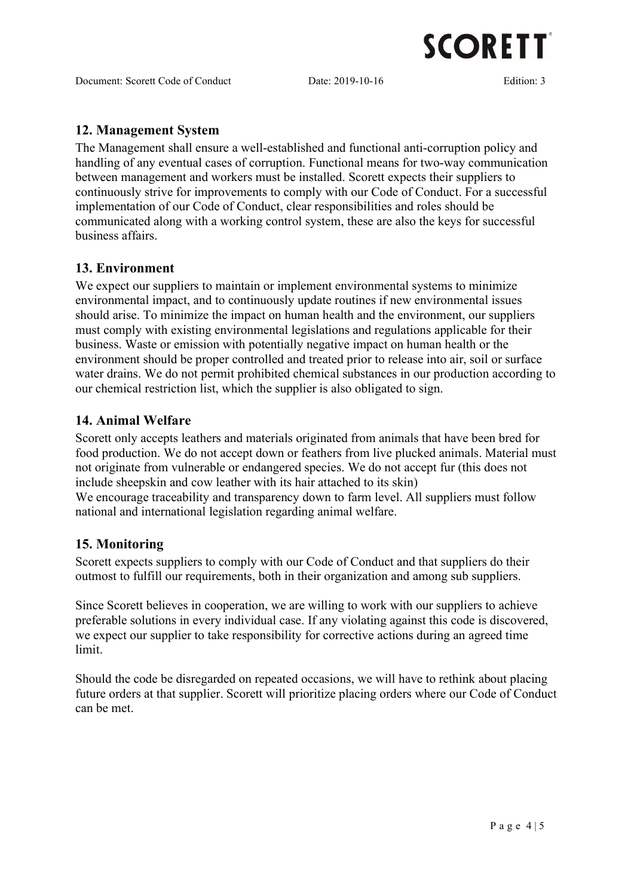

Document: Scorett Code of Conduct Date: 2019-10-16 Edition: 3

### 12. Management System

The Management shall ensure a well-established and functional anti-corruption policy and handling of any eventual cases of corruption. Functional means for two-way communication between management and workers must be installed. Scorett expects their suppliers to continuously strive for improvements to comply with our Code of Conduct. For a successful implementation of our Code of Conduct, clear responsibilities and roles should be communicated along with a working control system, these are also the keys for successful business affairs.

#### 13. Environment

We expect our suppliers to maintain or implement environmental systems to minimize environmental impact, and to continuously update routines if new environmental issues should arise. To minimize the impact on human health and the environment, our suppliers must comply with existing environmental legislations and regulations applicable for their business. Waste or emission with potentially negative impact on human health or the environment should be proper controlled and treated prior to release into air, soil or surface water drains. We do not permit prohibited chemical substances in our production according to our chemical restriction list, which the supplier is also obligated to sign.

#### 14. Animal Welfare

Scorett only accepts leathers and materials originated from animals that have been bred for food production. We do not accept down or feathers from live plucked animals. Material must not originate from vulnerable or endangered species. We do not accept fur (this does not include sheepskin and cow leather with its hair attached to its skin) We encourage traceability and transparency down to farm level. All suppliers must follow national and international legislation regarding animal welfare.

#### 15. Monitoring

Scorett expects suppliers to comply with our Code of Conduct and that suppliers do their outmost to fulfill our requirements, both in their organization and among sub suppliers.

Since Scorett believes in cooperation, we are willing to work with our suppliers to achieve preferable solutions in every individual case. If any violating against this code is discovered, we expect our supplier to take responsibility for corrective actions during an agreed time limit.

Should the code be disregarded on repeated occasions, we will have to rethink about placing future orders at that supplier. Scorett will prioritize placing orders where our Code of Conduct can be met.